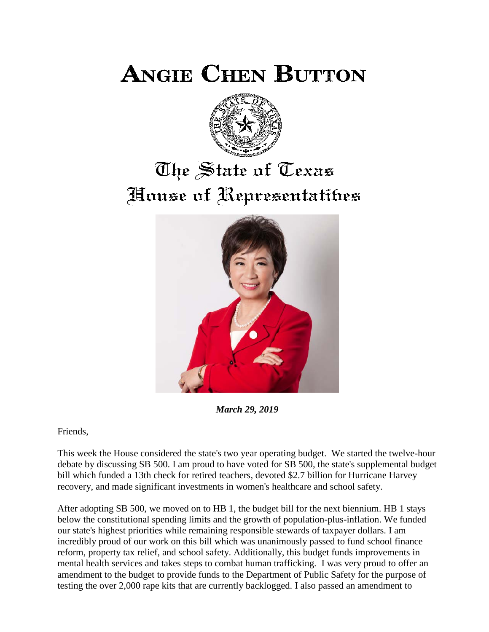**ANGIE CHEN BUTTON** 



# The State of Texas House of Representatibes



*March 29, 2019*

Friends,

This week the House considered the state's two year operating budget. We started the twelve-hour debate by discussing SB 500. I am proud to have voted for SB 500, the state's supplemental budget bill which funded a 13th check for retired teachers, devoted \$2.7 billion for Hurricane Harvey recovery, and made significant investments in women's healthcare and school safety.

After adopting SB 500, we moved on to HB 1, the budget bill for the next biennium. HB 1 stays below the constitutional spending limits and the growth of population-plus-inflation. We funded our state's highest priorities while remaining responsible stewards of taxpayer dollars. I am incredibly proud of our work on this bill which was unanimously passed to fund school finance reform, property tax relief, and school safety. Additionally, this budget funds improvements in mental health services and takes steps to combat human trafficking. I was very proud to offer an amendment to the budget to provide funds to the Department of Public Safety for the purpose of testing the over 2,000 rape kits that are currently backlogged. I also passed an amendment to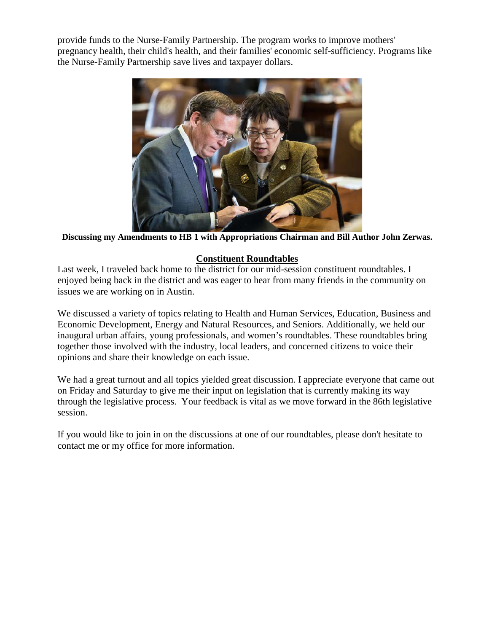provide funds to the Nurse-Family Partnership. The program works to improve mothers' pregnancy health, their child's health, and their families' economic self-sufficiency. Programs like the Nurse-Family Partnership save lives and taxpayer dollars.



**Discussing my Amendments to HB 1 with Appropriations Chairman and Bill Author John Zerwas.**

## **Constituent Roundtables**

Last week, I traveled back home to the district for our mid-session constituent roundtables. I enjoyed being back in the district and was eager to hear from many friends in the community on issues we are working on in Austin.

We discussed a variety of topics relating to Health and Human Services, Education, Business and Economic Development, Energy and Natural Resources, and Seniors. Additionally, we held our inaugural urban affairs, young professionals, and women's roundtables. These roundtables bring together those involved with the industry, local leaders, and concerned citizens to voice their opinions and share their knowledge on each issue.

We had a great turnout and all topics yielded great discussion. I appreciate everyone that came out on Friday and Saturday to give me their input on legislation that is currently making its way through the legislative process. Your feedback is vital as we move forward in the 86th legislative session.

If you would like to join in on the discussions at one of our roundtables, please don't hesitate to contact me or my office for more information.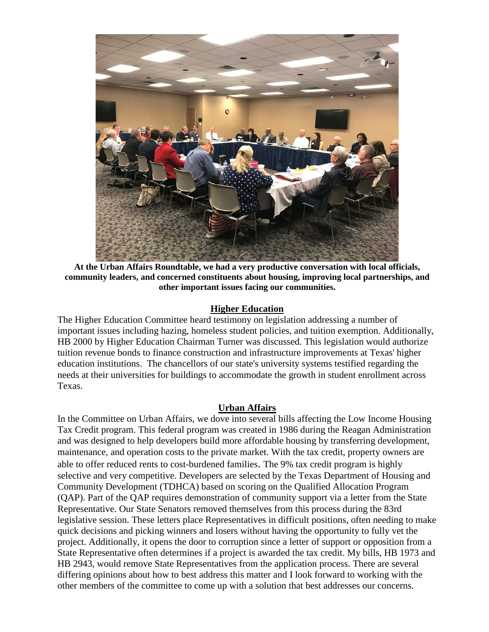

**At the Urban Affairs Roundtable, we had a very productive conversation with local officials, community leaders, and concerned constituents about housing, improving local partnerships, and other important issues facing our communities.**

#### **Higher Education**

The Higher Education Committee heard testimony on legislation addressing a number of important issues including hazing, homeless student policies, and tuition exemption. Additionally, HB 2000 by Higher Education Chairman Turner was discussed. This legislation would authorize tuition revenue bonds to finance construction and infrastructure improvements at Texas' higher education institutions. The chancellors of our state's university systems testified regarding the needs at their universities for buildings to accommodate the growth in student enrollment across Texas.

#### **Urban Affairs**

In the Committee on Urban Affairs, we dove into several bills affecting the Low Income Housing Tax Credit program. This federal program was created in 1986 during the Reagan Administration and was designed to help developers build more affordable housing by transferring development, maintenance, and operation costs to the private market. With the tax credit, property owners are able to offer reduced rents to cost-burdened families. The 9% tax credit program is highly selective and very competitive. Developers are selected by the Texas Department of Housing and Community Development (TDHCA) based on scoring on the Qualified Allocation Program (QAP). Part of the QAP requires demonstration of community support via a letter from the State Representative. Our State Senators removed themselves from this process during the 83rd legislative session. These letters place Representatives in difficult positions, often needing to make quick decisions and picking winners and losers without having the opportunity to fully vet the project. Additionally, it opens the door to corruption since a letter of support or opposition from a State Representative often determines if a project is awarded the tax credit. My bills, HB 1973 and HB 2943, would remove State Representatives from the application process. There are several differing opinions about how to best address this matter and I look forward to working with the other members of the committee to come up with a solution that best addresses our concerns.